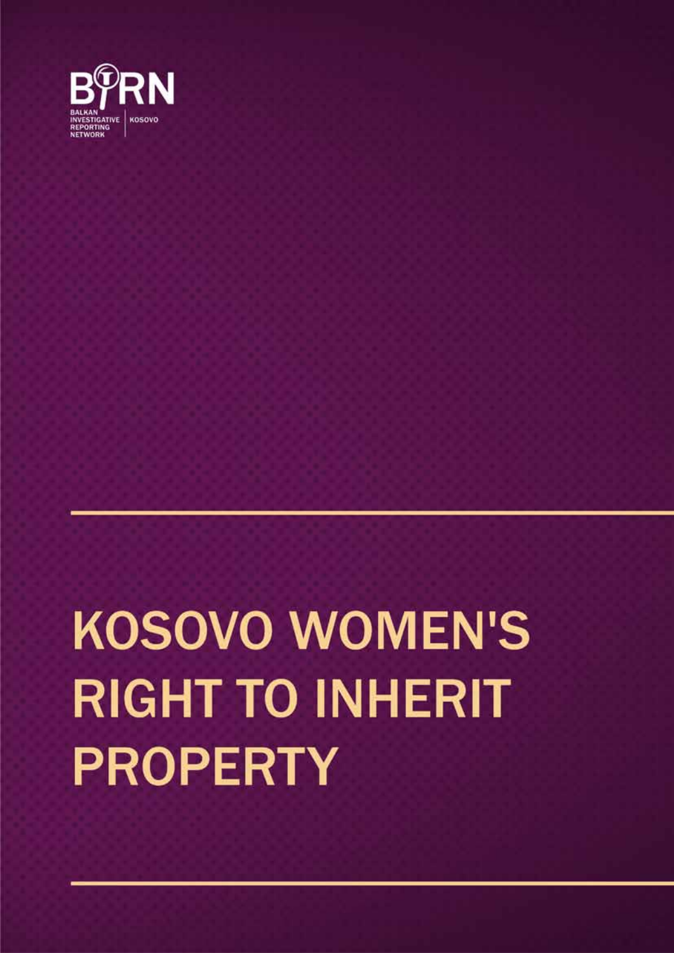# **KOSOVO WOMEN'S RIGHT TO INHERIT PROPERTY**

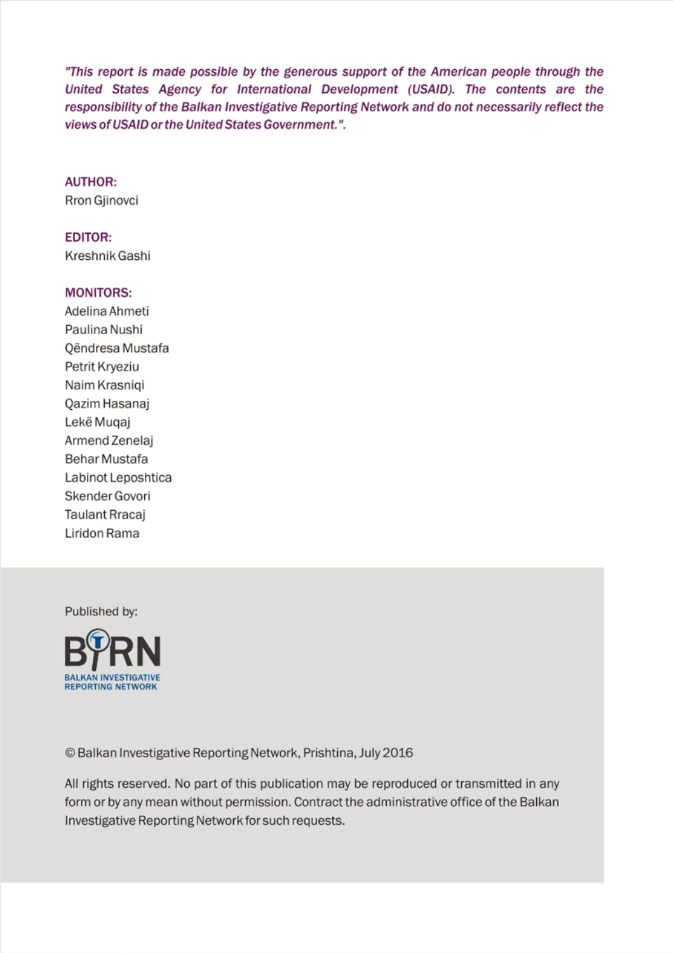"This report is made possible by the generous support of the American people through the United States Agency for International Development (USAID). The contents are the responsibility of the Balkan Investigative Reporting Network and do not necessarily reflect the views of USAID or the United States Government.".

#### **AUTHOR:**

Rron Gjinovci

**EDITOR:** Kreshnik Gashi

#### **MONITORS:**

Adelina Ahmeti Paulina Nushi Qëndresa Mustafa Petrit Kryeziu Naim Krasniqi Qazim Hasanaj Lekë Muqaj Armend Zenelaj Behar Mustafa Labinot Leposhtica Skender Govori **Taulant Rracai** Liridon Rama

Published by:



© Balkan Investigative Reporting Network, Prishtina, July 2016

All rights reserved. No part of this publication may be reproduced or transmitted in any form or by any mean without permission. Contract the administrative office of the Balkan Investigative Reporting Network for such requests.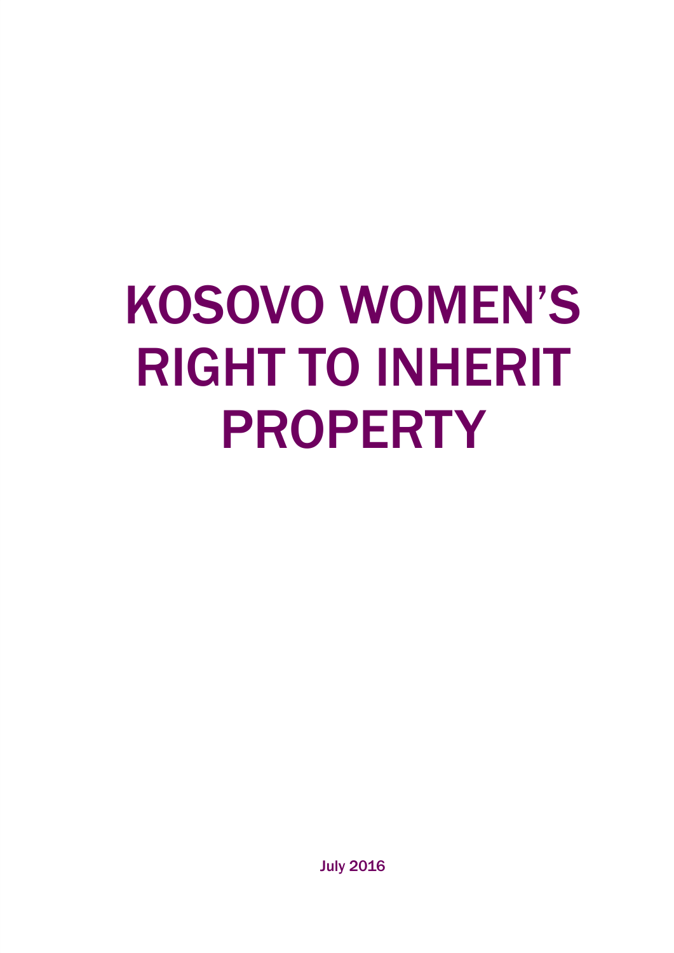# KOSOVO WOMEN'S RIGHT TO INHERIT PROPERTY

July 2016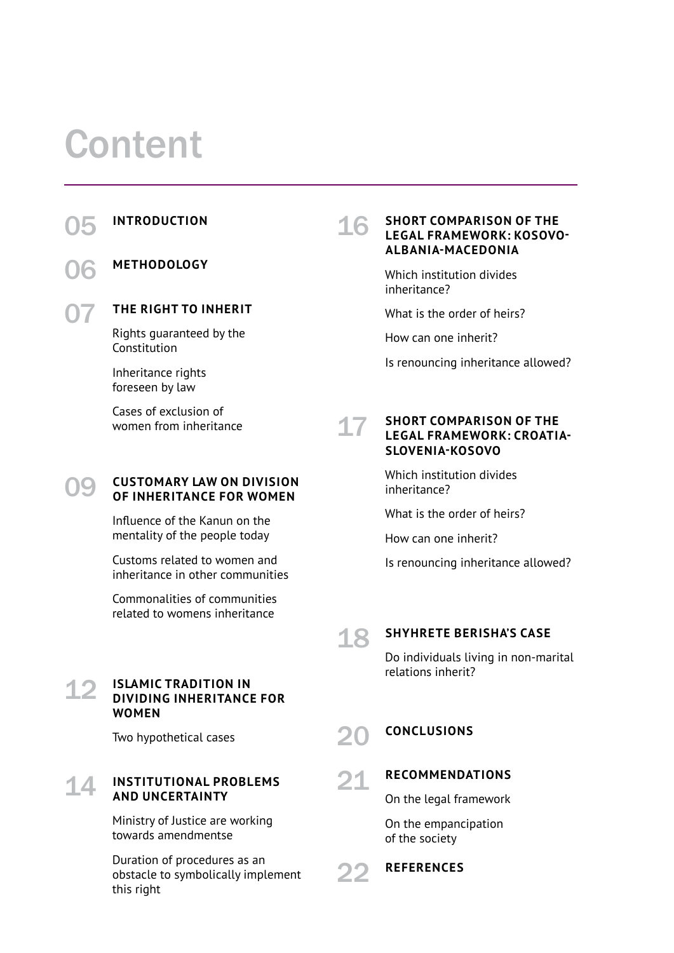# Content

05 INTRODUCTION
16

06

### **Methodology**

07

#### **The right to inherit**

Rights guaranteed by the Constitution

Inheritance rights foreseen by law

Cases of exclusion of women from inheritance

#### **Customary law on division of inheritance for women** 09

Influence of the Kanun on the mentality of the people today

Customs related to women and inheritance in other communities

Commonalities of communities related to womens inheritance

**Islamic tradition in dividing inheritance for** 

Two hypothetical cases

**and uncertainty**

towards amendmentse

**Institutional problems** 

Ministry of Justice are working

**women**

12

14

#### **Short comparison of the legal framework: Kosovo-Albania-Macedonia**

Which institution divides inheritance?

What is the order of heirs?

How can one inherit?

Is renouncing inheritance allowed?

#### **Short comparison of the legal framework: Croatia-Slovenia-Kosovo** 17

Which institution divides inheritance?

What is the order of heirs?

How can one inherit?

Is renouncing inheritance allowed?

18

22

#### **Shyhrete Berisha's case**

Do individuals living in non-marital relations inherit?

#### **Conclusions** 20

#### **Recommendations**  21

On the legal framework

On the empancipation of the society

**References**

Duration of procedures as an

obstacle to symbolically implement this right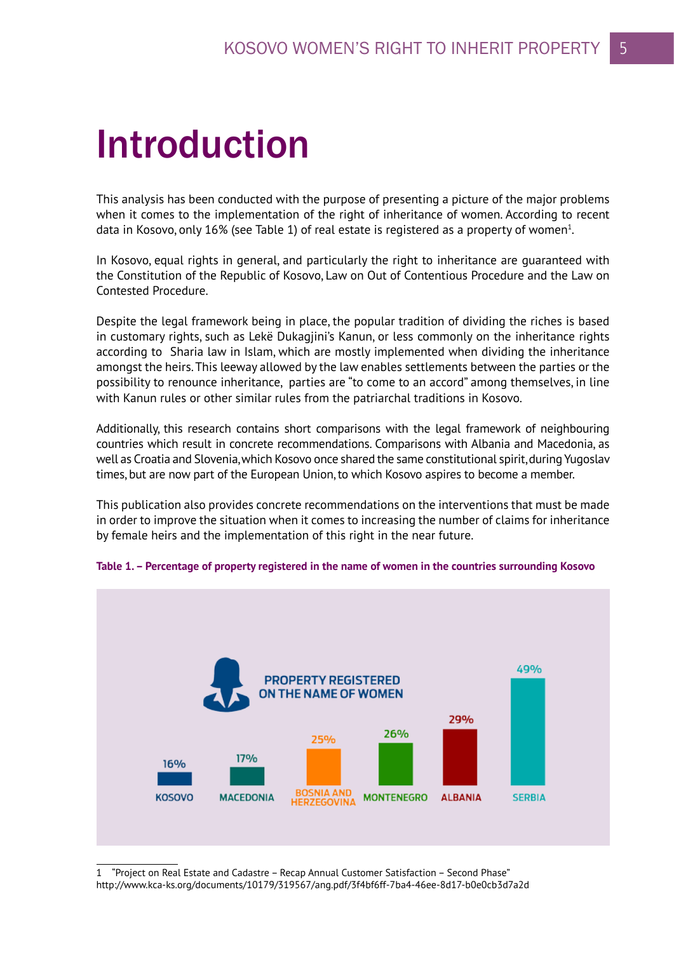# Introduction

This analysis has been conducted with the purpose of presenting a picture of the major problems when it comes to the implementation of the right of inheritance of women. According to recent data in Kosovo, only 16% (see Table 1) of real estate is registered as a property of women<sup>1</sup>.

In Kosovo, equal rights in general, and particularly the right to inheritance are guaranteed with the Constitution of the Republic of Kosovo, Law on Out of Contentious Procedure and the Law on Contested Procedure.

Despite the legal framework being in place, the popular tradition of dividing the riches is based in customary rights, such as Lekë Dukagjini's Kanun, or less commonly on the inheritance rights according to Sharia law in Islam, which are mostly implemented when dividing the inheritance amongst the heirs. This leeway allowed by the law enables settlements between the parties or the possibility to renounce inheritance, parties are "to come to an accord" among themselves, in line with Kanun rules or other similar rules from the patriarchal traditions in Kosovo.

Additionally, this research contains short comparisons with the legal framework of neighbouring countries which result in concrete recommendations. Comparisons with Albania and Macedonia, as well as Croatia and Slovenia, which Kosovo once shared the same constitutional spirit, during Yugoslav times, but are now part of the European Union, to which Kosovo aspires to become a member.

This publication also provides concrete recommendations on the interventions that must be made in order to improve the situation when it comes to increasing the number of claims for inheritance by female heirs and the implementation of this right in the near future.



#### **Table 1. – Percentage of property registered in the name of women in the countries surrounding Kosovo**

1 "Project on Real Estate and Cadastre – Recap Annual Customer Satisfaction – Second Phase" http://www.kca-ks.org/documents/10179/319567/ang.pdf/3f4bf6ff-7ba4-46ee-8d17-b0e0cb3d7a2d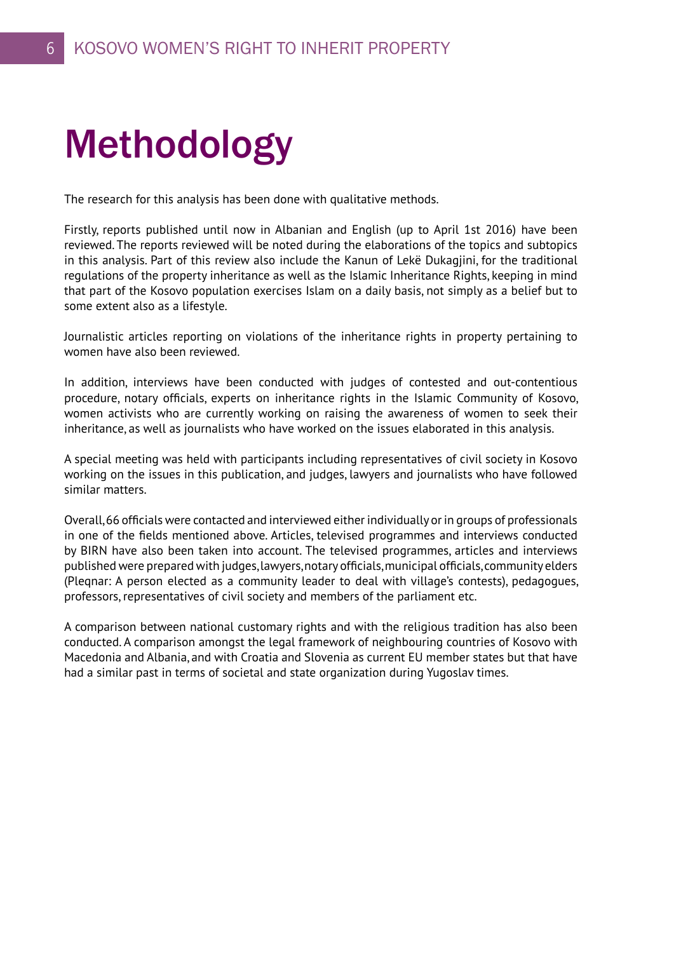# Methodology

The research for this analysis has been done with qualitative methods.

Firstly, reports published until now in Albanian and English (up to April 1st 2016) have been reviewed. The reports reviewed will be noted during the elaborations of the topics and subtopics in this analysis. Part of this review also include the Kanun of Lekë Dukagjini, for the traditional regulations of the property inheritance as well as the Islamic Inheritance Rights, keeping in mind that part of the Kosovo population exercises Islam on a daily basis, not simply as a belief but to some extent also as a lifestyle.

Journalistic articles reporting on violations of the inheritance rights in property pertaining to women have also been reviewed.

In addition, interviews have been conducted with judges of contested and out-contentious procedure, notary officials, experts on inheritance rights in the Islamic Community of Kosovo, women activists who are currently working on raising the awareness of women to seek their inheritance, as well as journalists who have worked on the issues elaborated in this analysis.

A special meeting was held with participants including representatives of civil society in Kosovo working on the issues in this publication, and judges, lawyers and journalists who have followed similar matters.

Overall, 66 officials were contacted and interviewed either individually or in groups of professionals in one of the fields mentioned above. Articles, televised programmes and interviews conducted by BIRN have also been taken into account. The televised programmes, articles and interviews published were prepared with judges, lawyers, notary officials, municipal officials, community elders (Pleqnar: A person elected as a community leader to deal with village's contests), pedagogues, professors, representatives of civil society and members of the parliament etc.

A comparison between national customary rights and with the religious tradition has also been conducted. A comparison amongst the legal framework of neighbouring countries of Kosovo with Macedonia and Albania, and with Croatia and Slovenia as current EU member states but that have had a similar past in terms of societal and state organization during Yugoslav times.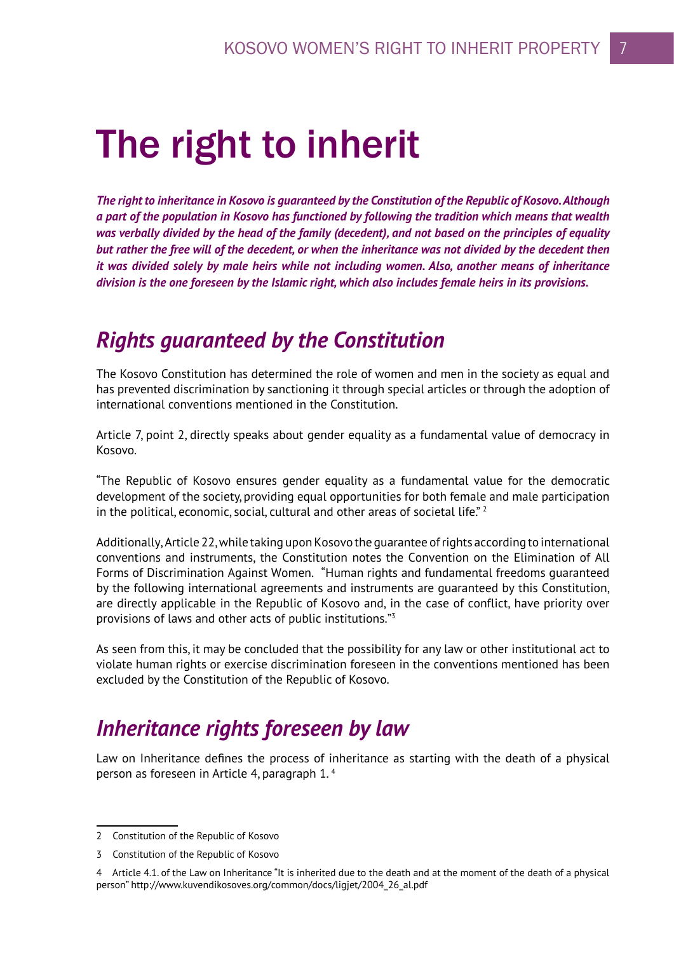# The right to inherit

*The right to inheritance in Kosovo is guaranteed by the Constitution of the Republic of Kosovo. Although a part of the population in Kosovo has functioned by following the tradition which means that wealth was verbally divided by the head of the family (decedent), and not based on the principles of equality but rather the free will of the decedent, or when the inheritance was not divided by the decedent then it was divided solely by male heirs while not including women. Also, another means of inheritance division is the one foreseen by the Islamic right, which also includes female heirs in its provisions.* 

### *Rights guaranteed by the Constitution*

The Kosovo Constitution has determined the role of women and men in the society as equal and has prevented discrimination by sanctioning it through special articles or through the adoption of international conventions mentioned in the Constitution.

Article 7, point 2, directly speaks about gender equality as a fundamental value of democracy in Kosovo.

"The Republic of Kosovo ensures gender equality as a fundamental value for the democratic development of the society, providing equal opportunities for both female and male participation in the political, economic, social, cultural and other areas of societal life."  $2$ 

Additionally, Article 22, while taking upon Kosovo the guarantee of rights according to international conventions and instruments, the Constitution notes the Convention on the Elimination of All Forms of Discrimination Against Women. "Human rights and fundamental freedoms guaranteed by the following international agreements and instruments are guaranteed by this Constitution, are directly applicable in the Republic of Kosovo and, in the case of conflict, have priority over provisions of laws and other acts of public institutions."3

As seen from this, it may be concluded that the possibility for any law or other institutional act to violate human rights or exercise discrimination foreseen in the conventions mentioned has been excluded by the Constitution of the Republic of Kosovo.

### *Inheritance rights foreseen by law*

Law on Inheritance defines the process of inheritance as starting with the death of a physical person as foreseen in Article 4, paragraph 1. 4

<sup>2</sup> Constitution of the Republic of Kosovo

<sup>3</sup> Constitution of the Republic of Kosovo

<sup>4</sup> Article 4.1. of the Law on Inheritance "It is inherited due to the death and at the moment of the death of a physical person" http://www.kuvendikosoves.org/common/docs/ligjet/2004\_26\_al.pdf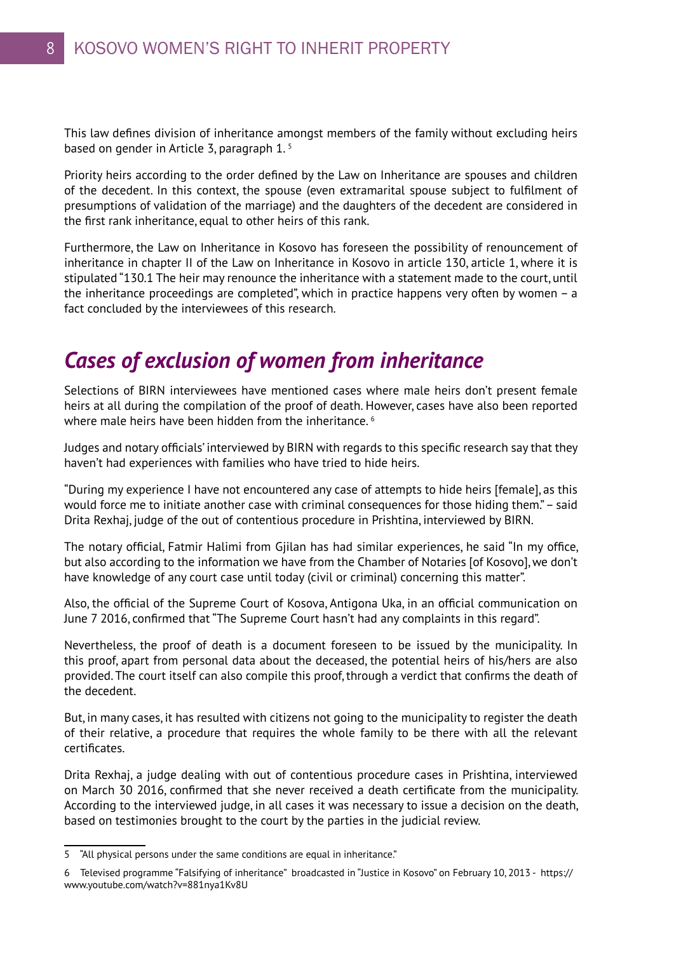This law defines division of inheritance amongst members of the family without excluding heirs based on gender in Article 3, paragraph 1. 5

Priority heirs according to the order defined by the Law on Inheritance are spouses and children of the decedent. In this context, the spouse (even extramarital spouse subject to fulfilment of presumptions of validation of the marriage) and the daughters of the decedent are considered in the first rank inheritance, equal to other heirs of this rank.

Furthermore, the Law on Inheritance in Kosovo has foreseen the possibility of renouncement of inheritance in chapter II of the Law on Inheritance in Kosovo in article 130, article 1, where it is stipulated "130.1 The heir may renounce the inheritance with a statement made to the court, until the inheritance proceedings are completed", which in practice happens very often by women – a fact concluded by the interviewees of this research.

## *Cases of exclusion of women from inheritance*

Selections of BIRN interviewees have mentioned cases where male heirs don't present female heirs at all during the compilation of the proof of death. However, cases have also been reported where male heirs have been hidden from the inheritance.<sup>6</sup>

Judges and notary officials' interviewed by BIRN with regards to this specific research say that they haven't had experiences with families who have tried to hide heirs.

"During my experience I have not encountered any case of attempts to hide heirs [female], as this would force me to initiate another case with criminal consequences for those hiding them." – said Drita Rexhaj, judge of the out of contentious procedure in Prishtina, interviewed by BIRN.

The notary official, Fatmir Halimi from Gjilan has had similar experiences, he said "In my office, but also according to the information we have from the Chamber of Notaries [of Kosovo], we don't have knowledge of any court case until today (civil or criminal) concerning this matter".

Also, the official of the Supreme Court of Kosova, Antigona Uka, in an official communication on June 7 2016, confirmed that "The Supreme Court hasn't had any complaints in this regard".

Nevertheless, the proof of death is a document foreseen to be issued by the municipality. In this proof, apart from personal data about the deceased, the potential heirs of his/hers are also provided. The court itself can also compile this proof, through a verdict that confirms the death of the decedent.

But, in many cases, it has resulted with citizens not going to the municipality to register the death of their relative, a procedure that requires the whole family to be there with all the relevant certificates.

Drita Rexhaj, a judge dealing with out of contentious procedure cases in Prishtina, interviewed on March 30 2016, confirmed that she never received a death certificate from the municipality. According to the interviewed judge, in all cases it was necessary to issue a decision on the death, based on testimonies brought to the court by the parties in the judicial review.

<sup>5 &</sup>quot;All physical persons under the same conditions are equal in inheritance."

<sup>6</sup> Televised programme "Falsifying of inheritance" broadcasted in "Justice in Kosovo" on February 10, 2013 - https:// www.youtube.com/watch?v=881nya1Kv8U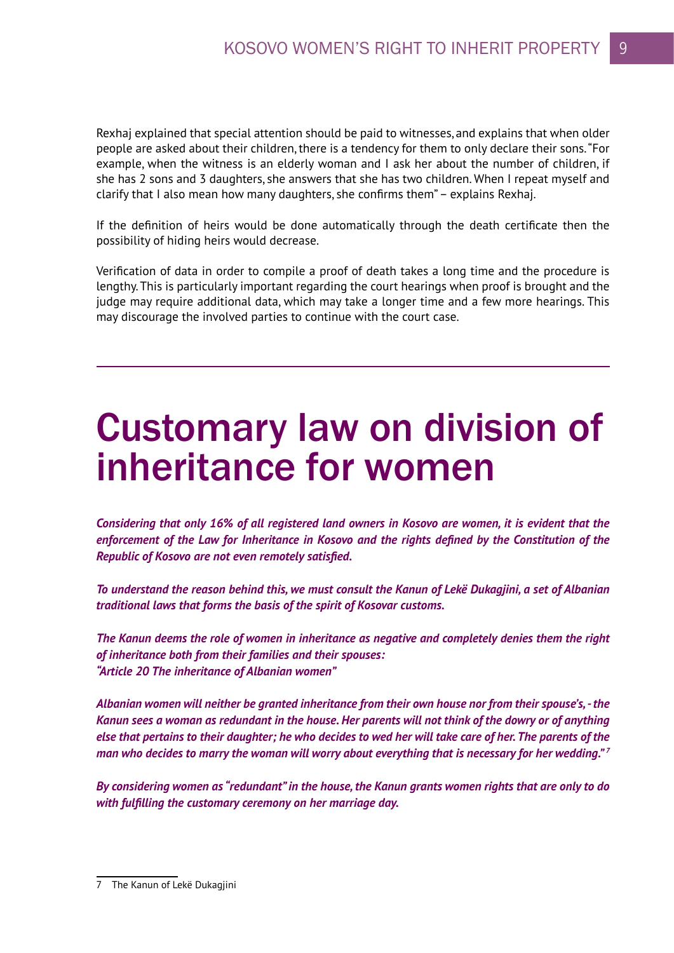Rexhaj explained that special attention should be paid to witnesses, and explains that when older people are asked about their children, there is a tendency for them to only declare their sons. "For example, when the witness is an elderly woman and I ask her about the number of children, if she has 2 sons and 3 daughters, she answers that she has two children. When I repeat myself and clarify that I also mean how many daughters, she confirms them" – explains Rexhaj.

If the definition of heirs would be done automatically through the death certificate then the possibility of hiding heirs would decrease.

Verification of data in order to compile a proof of death takes a long time and the procedure is lengthy. This is particularly important regarding the court hearings when proof is brought and the judge may require additional data, which may take a longer time and a few more hearings. This may discourage the involved parties to continue with the court case.

# Customary law on division of inheritance for women

*Considering that only 16% of all registered land owners in Kosovo are women, it is evident that the enforcement of the Law for Inheritance in Kosovo and the rights defined by the Constitution of the Republic of Kosovo are not even remotely satisfied.*

*To understand the reason behind this, we must consult the Kanun of Lekë Dukagjini, a set of Albanian traditional laws that forms the basis of the spirit of Kosovar customs.*

*The Kanun deems the role of women in inheritance as negative and completely denies them the right of inheritance both from their families and their spouses: "Article 20 The inheritance of Albanian women"*

*Albanian women will neither be granted inheritance from their own house nor from their spouse's, - the Kanun sees a woman as redundant in the house. Her parents will not think of the dowry or of anything else that pertains to their daughter; he who decides to wed her will take care of her. The parents of the man who decides to marry the woman will worry about everything that is necessary for her wedding." 7*

*By considering women as "redundant" in the house, the Kanun grants women rights that are only to do with fulfilling the customary ceremony on her marriage day.*

<sup>7</sup> The Kanun of Lekë Dukagjini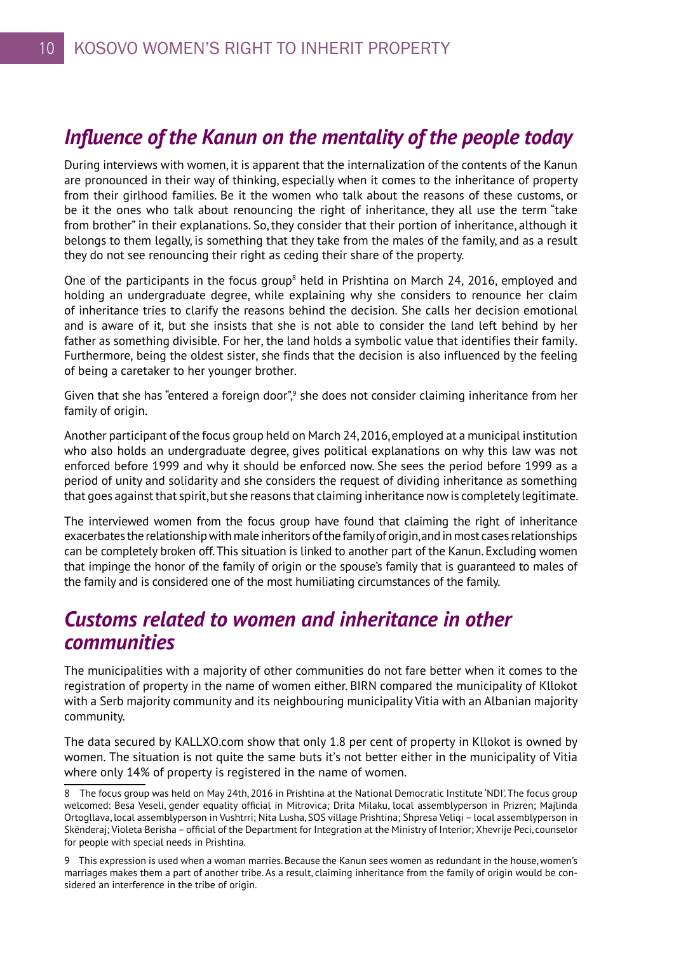### *Influence of the Kanun on the mentality of the people today*

During interviews with women, it is apparent that the internalization of the contents of the Kanun are pronounced in their way of thinking, especially when it comes to the inheritance of property from their girlhood families. Be it the women who talk about the reasons of these customs, or be it the ones who talk about renouncing the right of inheritance, they all use the term "take from brother" in their explanations. So, they consider that their portion of inheritance, although it belongs to them legally, is something that they take from the males of the family, and as a result they do not see renouncing their right as ceding their share of the property.

One of the participants in the focus group<sup>8</sup> held in Prishtina on March 24, 2016, employed and holding an undergraduate degree, while explaining why she considers to renounce her claim of inheritance tries to clarify the reasons behind the decision. She calls her decision emotional and is aware of it, but she insists that she is not able to consider the land left behind by her father as something divisible. For her, the land holds a symbolic value that identifies their family. Furthermore, being the oldest sister, she finds that the decision is also influenced by the feeling of being a caretaker to her younger brother.

Given that she has "entered a foreign door",<sup>9</sup> she does not consider claiming inheritance from her family of origin.

Another participant of the focus group held on March 24, 2016, employed at a municipal institution who also holds an undergraduate degree, gives political explanations on why this law was not enforced before 1999 and why it should be enforced now. She sees the period before 1999 as a period of unity and solidarity and she considers the request of dividing inheritance as something that goes against that spirit, but she reasons that claiming inheritance now is completely legitimate.

The interviewed women from the focus group have found that claiming the right of inheritance exacerbates the relationship with male inheritors of the family of origin, and in most cases relationships can be completely broken off. This situation is linked to another part of the Kanun. Excluding women that impinge the honor of the family of origin or the spouse's family that is guaranteed to males of the family and is considered one of the most humiliating circumstances of the family.

### *Customs related to women and inheritance in other communities*

The municipalities with a majority of other communities do not fare better when it comes to the registration of property in the name of women either. BIRN compared the municipality of Kllokot with a Serb majority community and its neighbouring municipality Vitia with an Albanian majority community.

The data secured by KALLXO.com show that only 1.8 per cent of property in Kllokot is owned by women. The situation is not quite the same buts it's not better either in the municipality of Vitia where only 14% of property is registered in the name of women.

<sup>8</sup> The focus group was held on May 24th, 2016 in Prishtina at the National Democratic Institute 'NDI'. The focus group welcomed: Besa Veseli, gender equality official in Mitrovica; Drita Milaku, local assemblyperson in Prizren; Majlinda Ortogllava, local assemblyperson in Vushtrri; Nita Lusha, SOS village Prishtina; Shpresa Veliqi – local assemblyperson in Skënderaj; Violeta Berisha – official of the Department for Integration at the Ministry of Interior; Xhevrije Peci, counselor for people with special needs in Prishtina.

<sup>9</sup> This expression is used when a woman marries. Because the Kanun sees women as redundant in the house, women's marriages makes them a part of another tribe. As a result, claiming inheritance from the family of origin would be considered an interference in the tribe of origin.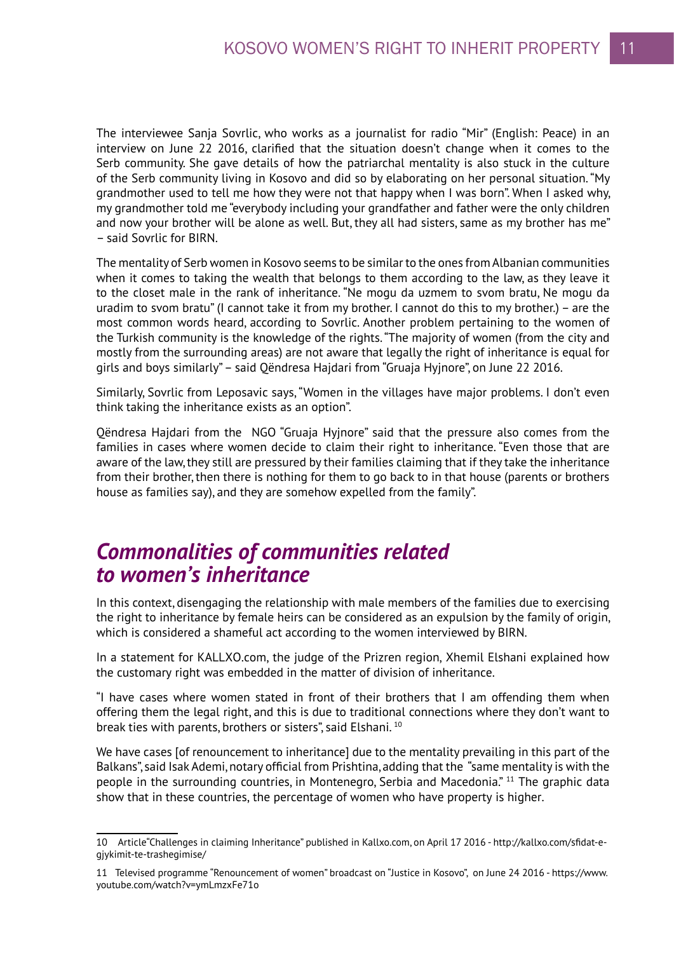The interviewee Sanja Sovrlic, who works as a journalist for radio "Mir" (English: Peace) in an interview on June 22 2016, clarified that the situation doesn't change when it comes to the Serb community. She gave details of how the patriarchal mentality is also stuck in the culture of the Serb community living in Kosovo and did so by elaborating on her personal situation. "My grandmother used to tell me how they were not that happy when I was born". When I asked why, my grandmother told me "everybody including your grandfather and father were the only children and now your brother will be alone as well. But, they all had sisters, same as my brother has me" – said Sovrlic for BIRN.

The mentality of Serb women in Kosovo seems to be similar to the ones from Albanian communities when it comes to taking the wealth that belongs to them according to the law, as they leave it to the closet male in the rank of inheritance. "Ne mogu da uzmem to svom bratu, Ne mogu da uradim to svom bratu" (I cannot take it from my brother. I cannot do this to my brother.) – are the most common words heard, according to Sovrlic. Another problem pertaining to the women of the Turkish community is the knowledge of the rights. "The majority of women (from the city and mostly from the surrounding areas) are not aware that legally the right of inheritance is equal for girls and boys similarly" – said Qëndresa Hajdari from "Gruaja Hyjnore", on June 22 2016.

Similarly, Sovrlic from Leposavic says, "Women in the villages have major problems. I don't even think taking the inheritance exists as an option".

Qëndresa Hajdari from the NGO "Gruaja Hyjnore" said that the pressure also comes from the families in cases where women decide to claim their right to inheritance. "Even those that are aware of the law, they still are pressured by their families claiming that if they take the inheritance from their brother, then there is nothing for them to go back to in that house (parents or brothers house as families say), and they are somehow expelled from the family".

### *Commonalities of communities related to women's inheritance*

In this context, disengaging the relationship with male members of the families due to exercising the right to inheritance by female heirs can be considered as an expulsion by the family of origin, which is considered a shameful act according to the women interviewed by BIRN.

In a statement for KALLXO.com, the judge of the Prizren region, Xhemil Elshani explained how the customary right was embedded in the matter of division of inheritance.

"I have cases where women stated in front of their brothers that I am offending them when offering them the legal right, and this is due to traditional connections where they don't want to break ties with parents, brothers or sisters", said Elshani. 10

We have cases [of renouncement to inheritance] due to the mentality prevailing in this part of the Balkans", said Isak Ademi, notary official from Prishtina, adding that the "same mentality is with the people in the surrounding countries, in Montenegro, Serbia and Macedonia." 11 The graphic data show that in these countries, the percentage of women who have property is higher.

<sup>10</sup> Article"Challenges in claiming Inheritance" published in Kallxo.com, on April 17 2016 - http://kallxo.com/sfidat-egjykimit-te-trashegimise/

<sup>11</sup> Televised programme "Renouncement of women" broadcast on "Justice in Kosovo", on June 24 2016 - https://www. youtube.com/watch?v=ymLmzxFe71o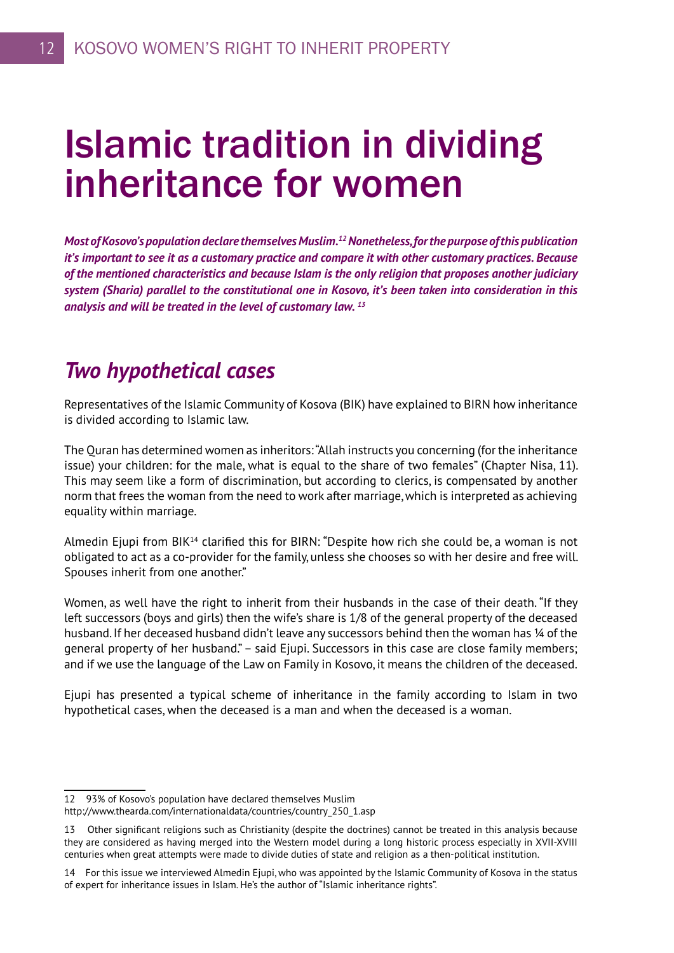# Islamic tradition in dividing inheritance for women

*Most of Kosovo's population declare themselves Muslim.12 Nonetheless, for the purpose of this publication it's important to see it as a customary practice and compare it with other customary practices. Because of the mentioned characteristics and because Islam is the only religion that proposes another judiciary system (Sharia) parallel to the constitutional one in Kosovo, it's been taken into consideration in this analysis and will be treated in the level of customary law. 13*

### *Two hypothetical cases*

Representatives of the Islamic Community of Kosova (BIK) have explained to BIRN how inheritance is divided according to Islamic law.

The Quran has determined women as inheritors: "Allah instructs you concerning (for the inheritance issue) your children: for the male, what is equal to the share of two females" (Chapter Nisa, 11). This may seem like a form of discrimination, but according to clerics, is compensated by another norm that frees the woman from the need to work after marriage, which is interpreted as achieving equality within marriage.

Almedin Ejupi from BIK<sup>14</sup> clarified this for BIRN: "Despite how rich she could be, a woman is not obligated to act as a co-provider for the family, unless she chooses so with her desire and free will. Spouses inherit from one another."

Women, as well have the right to inherit from their husbands in the case of their death. "If they left successors (boys and girls) then the wife's share is 1/8 of the general property of the deceased husband. If her deceased husband didn't leave any successors behind then the woman has 1/4 of the general property of her husband." – said Ejupi. Successors in this case are close family members; and if we use the language of the Law on Family in Kosovo, it means the children of the deceased.

Ejupi has presented a typical scheme of inheritance in the family according to Islam in two hypothetical cases, when the deceased is a man and when the deceased is a woman.

<sup>12 93%</sup> of Kosovo's population have declared themselves Muslim

http://www.thearda.com/internationaldata/countries/country\_250\_1.asp

<sup>13</sup> Other significant religions such as Christianity (despite the doctrines) cannot be treated in this analysis because they are considered as having merged into the Western model during a long historic process especially in XVII-XVIII centuries when great attempts were made to divide duties of state and religion as a then-political institution.

<sup>14</sup> For this issue we interviewed Almedin Ejupi, who was appointed by the Islamic Community of Kosova in the status of expert for inheritance issues in Islam. He's the author of "Islamic inheritance rights".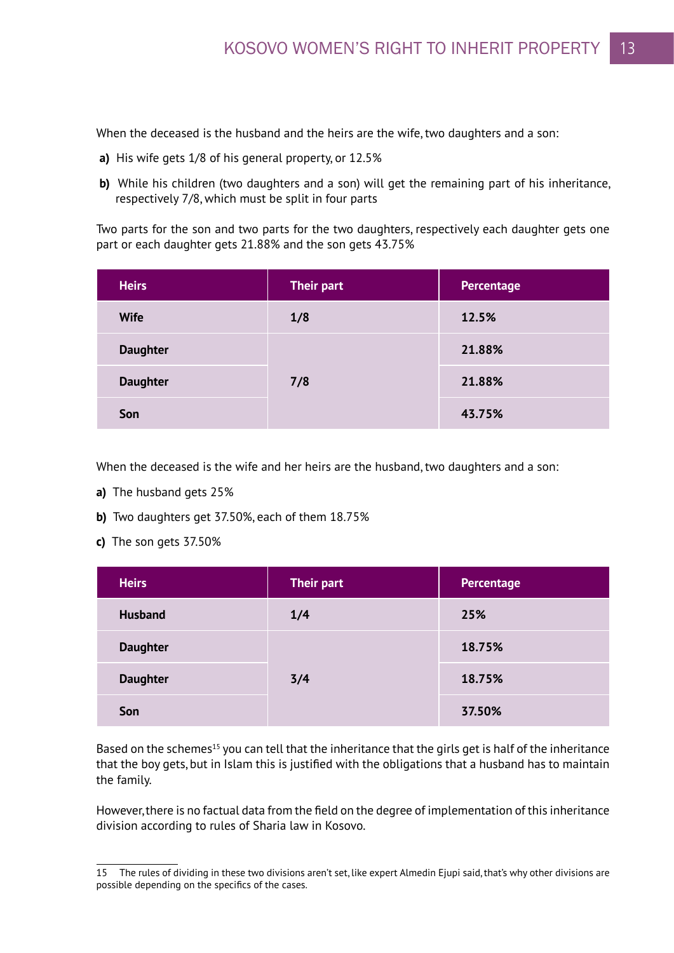When the deceased is the husband and the heirs are the wife, two daughters and a son:

- **a)** His wife gets 1/8 of his general property, or 12.5%
- **b)** While his children (two daughters and a son) will get the remaining part of his inheritance, respectively 7/8, which must be split in four parts

Two parts for the son and two parts for the two daughters, respectively each daughter gets one part or each daughter gets 21.88% and the son gets 43.75%

| <b>Heirs</b>    | <b>Their part</b> | Percentage |
|-----------------|-------------------|------------|
| <b>Wife</b>     | 1/8               | 12.5%      |
| <b>Daughter</b> | 7/8               | 21.88%     |
| <b>Daughter</b> |                   | 21.88%     |
| Son             |                   | 43.75%     |

When the deceased is the wife and her heirs are the husband, two daughters and a son:

- **a)** The husband gets 25%
- **b)** Two daughters get 37.50%, each of them 18.75%
- **c)** The son gets 37.50%

| <b>Heirs</b>    | <b>Their part</b> | Percentage |
|-----------------|-------------------|------------|
| <b>Husband</b>  | 1/4               | 25%        |
| <b>Daughter</b> | 3/4               | 18.75%     |
| <b>Daughter</b> |                   | 18.75%     |
| Son             |                   | 37.50%     |

Based on the schemes<sup>15</sup> you can tell that the inheritance that the girls get is half of the inheritance that the boy gets, but in Islam this is justified with the obligations that a husband has to maintain the family.

However, there is no factual data from the field on the degree of implementation of this inheritance division according to rules of Sharia law in Kosovo.

<sup>15</sup> The rules of dividing in these two divisions aren't set, like expert Almedin Ejupi said, that's why other divisions are possible depending on the specifics of the cases.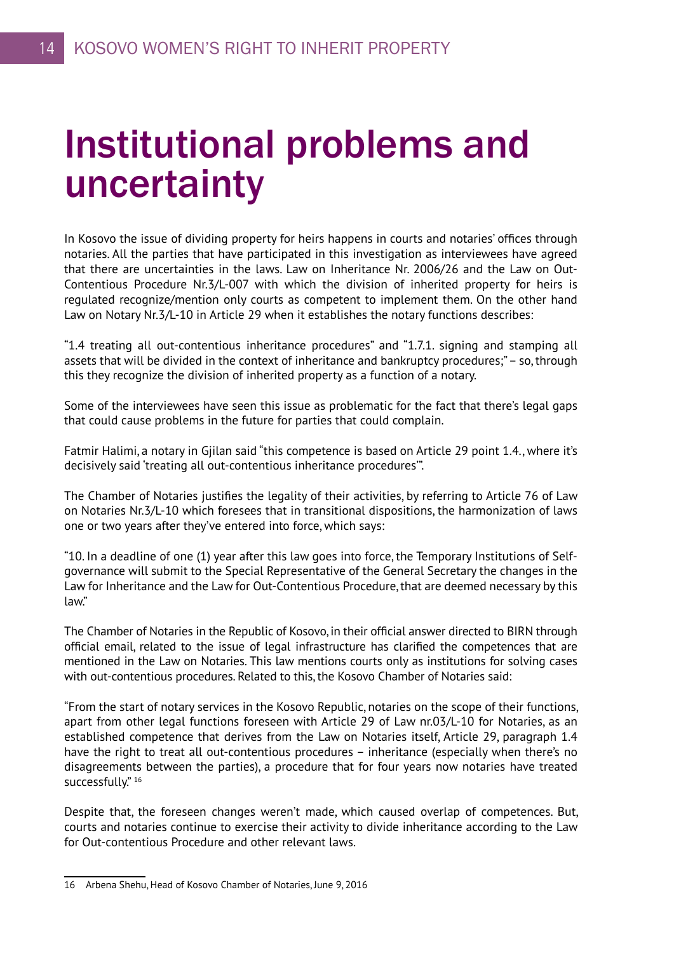# Institutional problems and uncertainty

In Kosovo the issue of dividing property for heirs happens in courts and notaries' offices through notaries. All the parties that have participated in this investigation as interviewees have agreed that there are uncertainties in the laws. Law on Inheritance Nr. 2006/26 and the Law on Out-Contentious Procedure Nr.3/L-007 with which the division of inherited property for heirs is regulated recognize/mention only courts as competent to implement them. On the other hand Law on Notary Nr.3/L-10 in Article 29 when it establishes the notary functions describes:

"1.4 treating all out-contentious inheritance procedures" and "1.7.1. signing and stamping all assets that will be divided in the context of inheritance and bankruptcy procedures;" – so, through this they recognize the division of inherited property as a function of a notary.

Some of the interviewees have seen this issue as problematic for the fact that there's legal gaps that could cause problems in the future for parties that could complain.

Fatmir Halimi, a notary in Gjilan said "this competence is based on Article 29 point 1.4., where it's decisively said 'treating all out-contentious inheritance procedures'".

The Chamber of Notaries justifies the legality of their activities, by referring to Article 76 of Law on Notaries Nr.3/L-10 which foresees that in transitional dispositions, the harmonization of laws one or two years after they've entered into force, which says:

"10. In a deadline of one (1) year after this law goes into force, the Temporary Institutions of Selfgovernance will submit to the Special Representative of the General Secretary the changes in the Law for Inheritance and the Law for Out-Contentious Procedure, that are deemed necessary by this law."

The Chamber of Notaries in the Republic of Kosovo, in their official answer directed to BIRN through official email, related to the issue of legal infrastructure has clarified the competences that are mentioned in the Law on Notaries. This law mentions courts only as institutions for solving cases with out-contentious procedures. Related to this, the Kosovo Chamber of Notaries said:

"From the start of notary services in the Kosovo Republic, notaries on the scope of their functions, apart from other legal functions foreseen with Article 29 of Law nr.03/L-10 for Notaries, as an established competence that derives from the Law on Notaries itself, Article 29, paragraph 1.4 have the right to treat all out-contentious procedures – inheritance (especially when there's no disagreements between the parties), a procedure that for four years now notaries have treated successfully." 16

Despite that, the foreseen changes weren't made, which caused overlap of competences. But, courts and notaries continue to exercise their activity to divide inheritance according to the Law for Out-contentious Procedure and other relevant laws.

<sup>16</sup> Arbena Shehu, Head of Kosovo Chamber of Notaries, June 9, 2016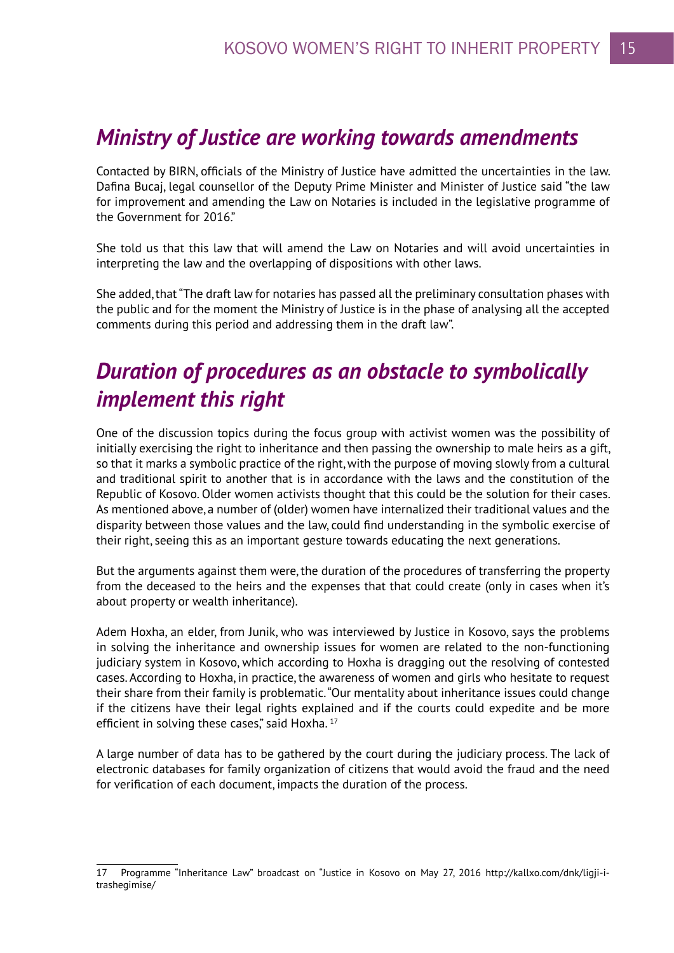### *Ministry of Justice are working towards amendments*

Contacted by BIRN, officials of the Ministry of Justice have admitted the uncertainties in the law. Dafina Bucaj, legal counsellor of the Deputy Prime Minister and Minister of Justice said "the law for improvement and amending the Law on Notaries is included in the legislative programme of the Government for 2016."

She told us that this law that will amend the Law on Notaries and will avoid uncertainties in interpreting the law and the overlapping of dispositions with other laws.

She added, that "The draft law for notaries has passed all the preliminary consultation phases with the public and for the moment the Ministry of Justice is in the phase of analysing all the accepted comments during this period and addressing them in the draft law".

# *Duration of procedures as an obstacle to symbolically implement this right*

One of the discussion topics during the focus group with activist women was the possibility of initially exercising the right to inheritance and then passing the ownership to male heirs as a gift, so that it marks a symbolic practice of the right, with the purpose of moving slowly from a cultural and traditional spirit to another that is in accordance with the laws and the constitution of the Republic of Kosovo. Older women activists thought that this could be the solution for their cases. As mentioned above, a number of (older) women have internalized their traditional values and the disparity between those values and the law, could find understanding in the symbolic exercise of their right, seeing this as an important gesture towards educating the next generations.

But the arguments against them were, the duration of the procedures of transferring the property from the deceased to the heirs and the expenses that that could create (only in cases when it's about property or wealth inheritance).

Adem Hoxha, an elder, from Junik, who was interviewed by Justice in Kosovo, says the problems in solving the inheritance and ownership issues for women are related to the non-functioning judiciary system in Kosovo, which according to Hoxha is dragging out the resolving of contested cases. According to Hoxha, in practice, the awareness of women and girls who hesitate to request their share from their family is problematic. "Our mentality about inheritance issues could change if the citizens have their legal rights explained and if the courts could expedite and be more efficient in solving these cases," said Hoxha. 17

A large number of data has to be gathered by the court during the judiciary process. The lack of electronic databases for family organization of citizens that would avoid the fraud and the need for verification of each document, impacts the duration of the process.

<sup>17</sup> Programme "Inheritance Law" broadcast on "Justice in Kosovo on May 27, 2016 http://kallxo.com/dnk/ligji-itrashegimise/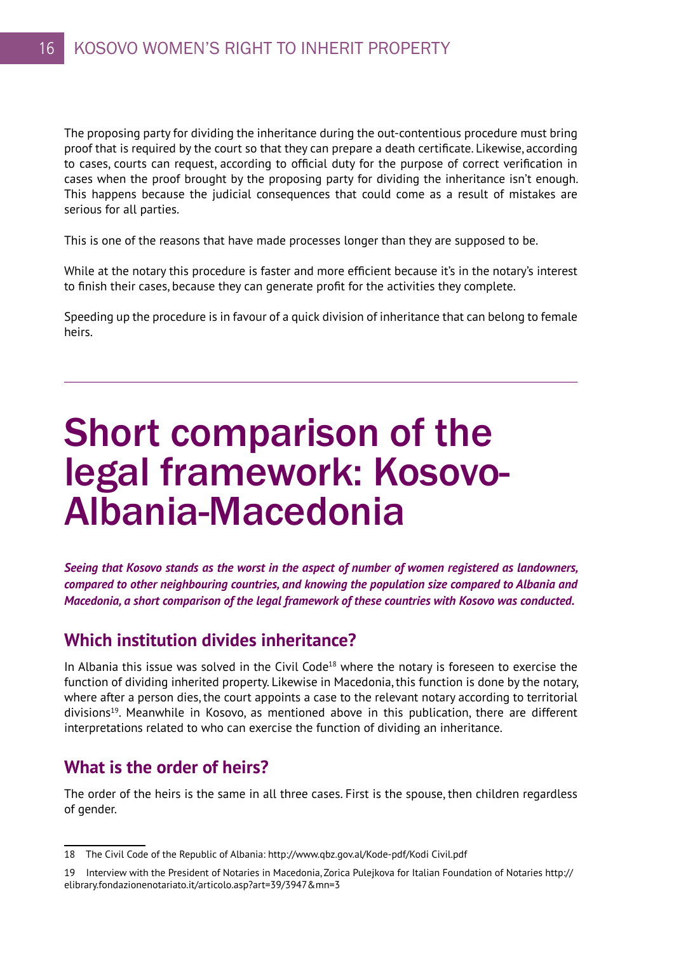The proposing party for dividing the inheritance during the out-contentious procedure must bring proof that is required by the court so that they can prepare a death certificate. Likewise, according to cases, courts can request, according to official duty for the purpose of correct verification in cases when the proof brought by the proposing party for dividing the inheritance isn't enough. This happens because the judicial consequences that could come as a result of mistakes are serious for all parties.

This is one of the reasons that have made processes longer than they are supposed to be.

While at the notary this procedure is faster and more efficient because it's in the notary's interest to finish their cases, because they can generate profit for the activities they complete.

Speeding up the procedure is in favour of a quick division of inheritance that can belong to female heirs.

# Short comparison of the legal framework: Kosovo-Albania-Macedonia

*Seeing that Kosovo stands as the worst in the aspect of number of women registered as landowners, compared to other neighbouring countries, and knowing the population size compared to Albania and Macedonia, a short comparison of the legal framework of these countries with Kosovo was conducted.* 

### **Which institution divides inheritance?**

In Albania this issue was solved in the Civil Code<sup>18</sup> where the notary is foreseen to exercise the function of dividing inherited property. Likewise in Macedonia, this function is done by the notary, where after a person dies, the court appoints a case to the relevant notary according to territorial divisions19. Meanwhile in Kosovo, as mentioned above in this publication, there are different interpretations related to who can exercise the function of dividing an inheritance.

### **What is the order of heirs?**

The order of the heirs is the same in all three cases. First is the spouse, then children regardless of gender.

<sup>18</sup> The Civil Code of the Republic of Albania: http://www.qbz.gov.al/Kode-pdf/Kodi Civil.pdf

<sup>19</sup> Interview with the President of Notaries in Macedonia, Zorica Pulejkova for Italian Foundation of Notaries http:// elibrary.fondazionenotariato.it/articolo.asp?art=39/3947&mn=3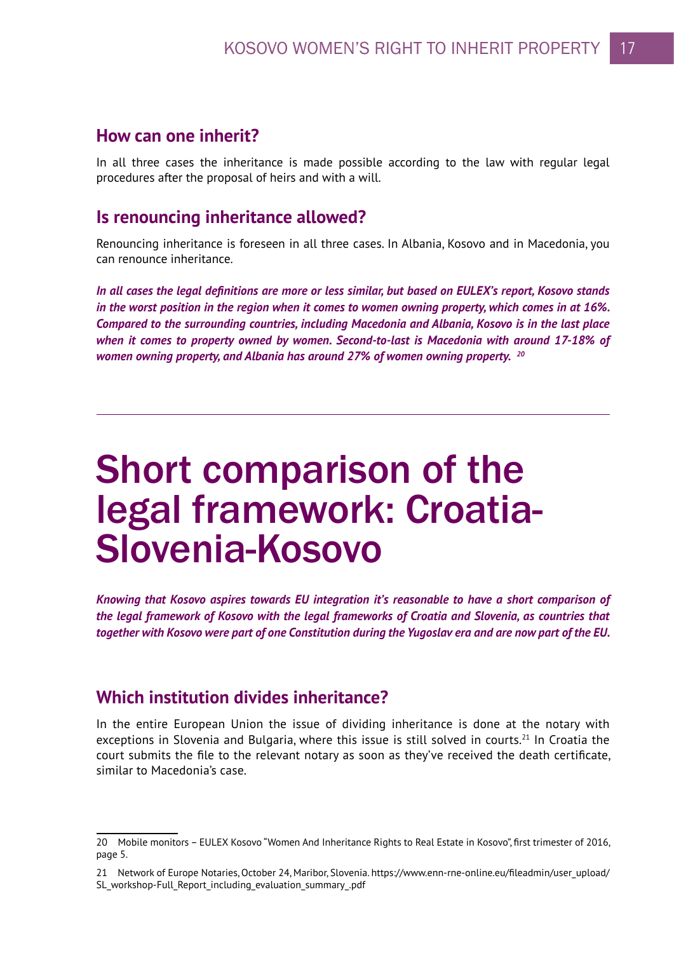#### **How can one inherit?**

In all three cases the inheritance is made possible according to the law with regular legal procedures after the proposal of heirs and with a will.

### **Is renouncing inheritance allowed?**

Renouncing inheritance is foreseen in all three cases. In Albania, Kosovo and in Macedonia, you can renounce inheritance.

*In all cases the legal definitions are more or less similar, but based on EULEX's report, Kosovo stands in the worst position in the region when it comes to women owning property, which comes in at 16%. Compared to the surrounding countries, including Macedonia and Albania, Kosovo is in the last place when it comes to property owned by women. Second-to-last is Macedonia with around 17-18% of women owning property, and Albania has around 27% of women owning property. 20*

# Short comparison of the legal framework: Croatia-Slovenia-Kosovo

*Knowing that Kosovo aspires towards EU integration it's reasonable to have a short comparison of the legal framework of Kosovo with the legal frameworks of Croatia and Slovenia, as countries that together with Kosovo were part of one Constitution during the Yugoslav era and are now part of the EU.* 

### **Which institution divides inheritance?**

In the entire European Union the issue of dividing inheritance is done at the notary with exceptions in Slovenia and Bulgaria, where this issue is still solved in courts.<sup>21</sup> In Croatia the court submits the file to the relevant notary as soon as they've received the death certificate, similar to Macedonia's case.

<sup>20</sup> Mobile monitors – EULEX Kosovo "Women And Inheritance Rights to Real Estate in Kosovo", first trimester of 2016, page 5.

<sup>21</sup> Network of Europe Notaries, October 24, Maribor, Slovenia. https://www.enn-rne-online.eu/fileadmin/user\_upload/ SL\_workshop-Full\_Report\_including\_evaluation\_summary\_.pdf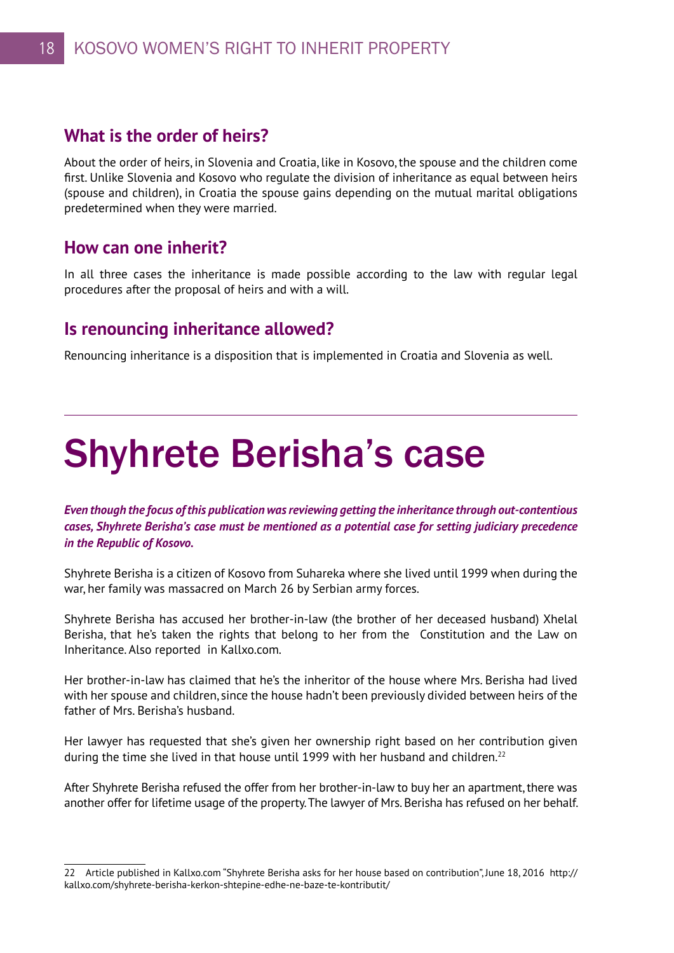### **What is the order of heirs?**

About the order of heirs, in Slovenia and Croatia, like in Kosovo, the spouse and the children come first. Unlike Slovenia and Kosovo who regulate the division of inheritance as equal between heirs (spouse and children), in Croatia the spouse gains depending on the mutual marital obligations predetermined when they were married.

### **How can one inherit?**

In all three cases the inheritance is made possible according to the law with regular legal procedures after the proposal of heirs and with a will.

### **Is renouncing inheritance allowed?**

Renouncing inheritance is a disposition that is implemented in Croatia and Slovenia as well.

# Shyhrete Berisha's case

*Even though the focus of this publication was reviewing getting the inheritance through out-contentious cases, Shyhrete Berisha's case must be mentioned as a potential case for setting judiciary precedence in the Republic of Kosovo.* 

Shyhrete Berisha is a citizen of Kosovo from Suhareka where she lived until 1999 when during the war, her family was massacred on March 26 by Serbian army forces.

Shyhrete Berisha has accused her brother-in-law (the brother of her deceased husband) Xhelal Berisha, that he's taken the rights that belong to her from the Constitution and the Law on Inheritance. Also reported in Kallxo.com.

Her brother-in-law has claimed that he's the inheritor of the house where Mrs. Berisha had lived with her spouse and children, since the house hadn't been previously divided between heirs of the father of Mrs. Berisha's husband.

Her lawyer has requested that she's given her ownership right based on her contribution given during the time she lived in that house until 1999 with her husband and children.<sup>22</sup>

After Shyhrete Berisha refused the offer from her brother-in-law to buy her an apartment, there was another offer for lifetime usage of the property. The lawyer of Mrs. Berisha has refused on her behalf.

<sup>22</sup> Article published in Kallxo.com "Shyhrete Berisha asks for her house based on contribution", June 18, 2016 http:// kallxo.com/shyhrete-berisha-kerkon-shtepine-edhe-ne-baze-te-kontributit/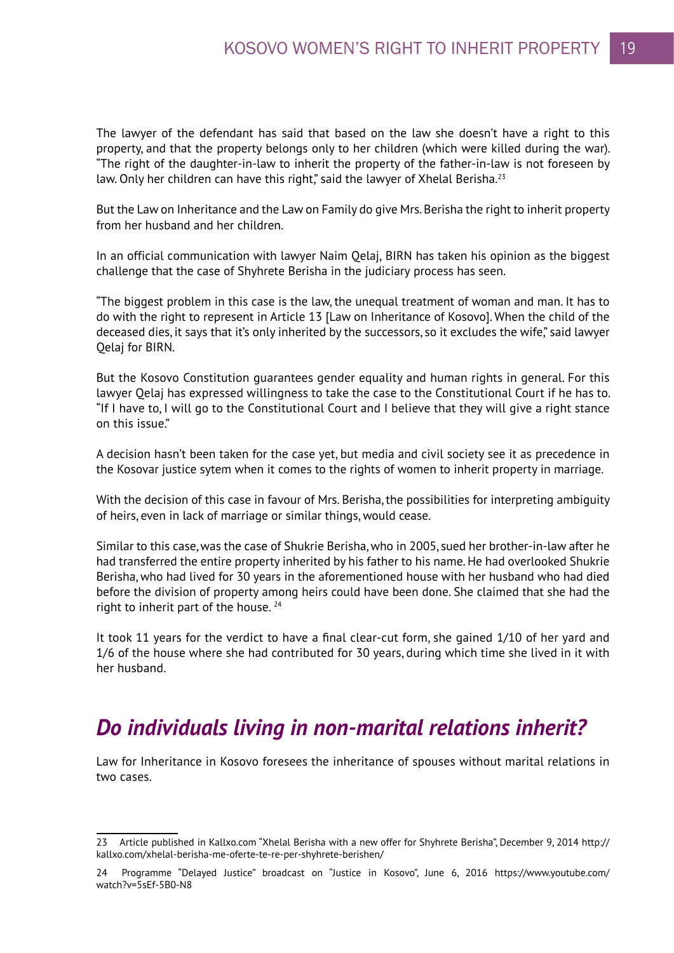The lawyer of the defendant has said that based on the law she doesn't have a right to this property, and that the property belongs only to her children (which were killed during the war). "The right of the daughter-in-law to inherit the property of the father-in-law is not foreseen by law. Only her children can have this right," said the lawyer of Xhelal Berisha.<sup>23</sup>

But the Law on Inheritance and the Law on Family do give Mrs. Berisha the right to inherit property from her husband and her children.

In an official communication with lawyer Naim Qelaj, BIRN has taken his opinion as the biggest challenge that the case of Shyhrete Berisha in the judiciary process has seen.

"The biggest problem in this case is the law, the unequal treatment of woman and man. It has to do with the right to represent in Article 13 [Law on Inheritance of Kosovo]. When the child of the deceased dies, it says that it's only inherited by the successors, so it excludes the wife," said lawyer Qelaj for BIRN.

But the Kosovo Constitution guarantees gender equality and human rights in general. For this lawyer Qelaj has expressed willingness to take the case to the Constitutional Court if he has to. "If I have to, I will go to the Constitutional Court and I believe that they will give a right stance on this issue."

A decision hasn't been taken for the case yet, but media and civil society see it as precedence in the Kosovar justice sytem when it comes to the rights of women to inherit property in marriage.

With the decision of this case in favour of Mrs. Berisha, the possibilities for interpreting ambiguity of heirs, even in lack of marriage or similar things, would cease.

Similar to this case, was the case of Shukrie Berisha, who in 2005, sued her brother-in-law after he had transferred the entire property inherited by his father to his name. He had overlooked Shukrie Berisha, who had lived for 30 years in the aforementioned house with her husband who had died before the division of property among heirs could have been done. She claimed that she had the right to inherit part of the house.  $24$ 

It took 11 years for the verdict to have a final clear-cut form, she gained 1/10 of her yard and 1/6 of the house where she had contributed for 30 years, during which time she lived in it with her husband.

### *Do individuals living in non-marital relations inherit?*

Law for Inheritance in Kosovo foresees the inheritance of spouses without marital relations in two cases.

<sup>23</sup> Article published in Kallxo.com "Xhelal Berisha with a new offer for Shyhrete Berisha", December 9, 2014 http:// kallxo.com/xhelal-berisha-me-oferte-te-re-per-shyhrete-berishen/

<sup>24</sup> Programme "Delayed Justice" broadcast on "Justice in Kosovo", June 6, 2016 https://www.youtube.com/ watch?v=5sEf-5B0-N8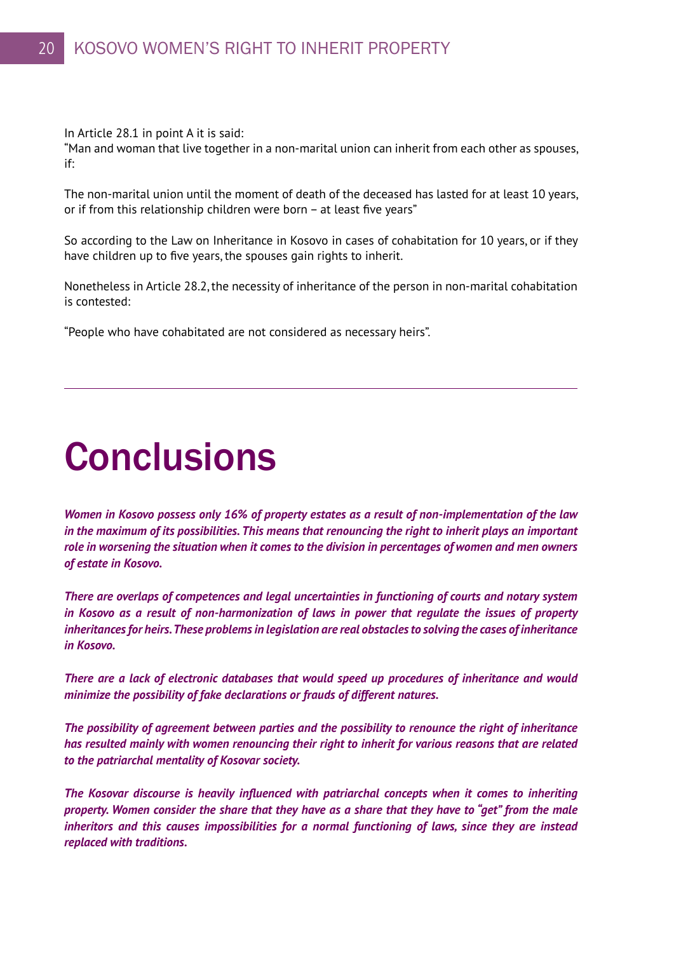In Article 28.1 in point A it is said:

"Man and woman that live together in a non-marital union can inherit from each other as spouses, if:

The non-marital union until the moment of death of the deceased has lasted for at least 10 years, or if from this relationship children were born – at least five years"

So according to the Law on Inheritance in Kosovo in cases of cohabitation for 10 years, or if they have children up to five years, the spouses gain rights to inherit.

Nonetheless in Article 28.2, the necessity of inheritance of the person in non-marital cohabitation is contested:

"People who have cohabitated are not considered as necessary heirs".

# **Conclusions**

*Women in Kosovo possess only 16% of property estates as a result of non-implementation of the law in the maximum of its possibilities. This means that renouncing the right to inherit plays an important role in worsening the situation when it comes to the division in percentages of women and men owners of estate in Kosovo.* 

*There are overlaps of competences and legal uncertainties in functioning of courts and notary system in Kosovo as a result of non-harmonization of laws in power that regulate the issues of property inheritances for heirs. These problems in legislation are real obstacles to solving the cases of inheritance in Kosovo.*

*There are a lack of electronic databases that would speed up procedures of inheritance and would minimize the possibility of fake declarations or frauds of different natures.*

*The possibility of agreement between parties and the possibility to renounce the right of inheritance has resulted mainly with women renouncing their right to inherit for various reasons that are related to the patriarchal mentality of Kosovar society.* 

*The Kosovar discourse is heavily influenced with patriarchal concepts when it comes to inheriting property. Women consider the share that they have as a share that they have to "get" from the male inheritors and this causes impossibilities for a normal functioning of laws, since they are instead replaced with traditions.*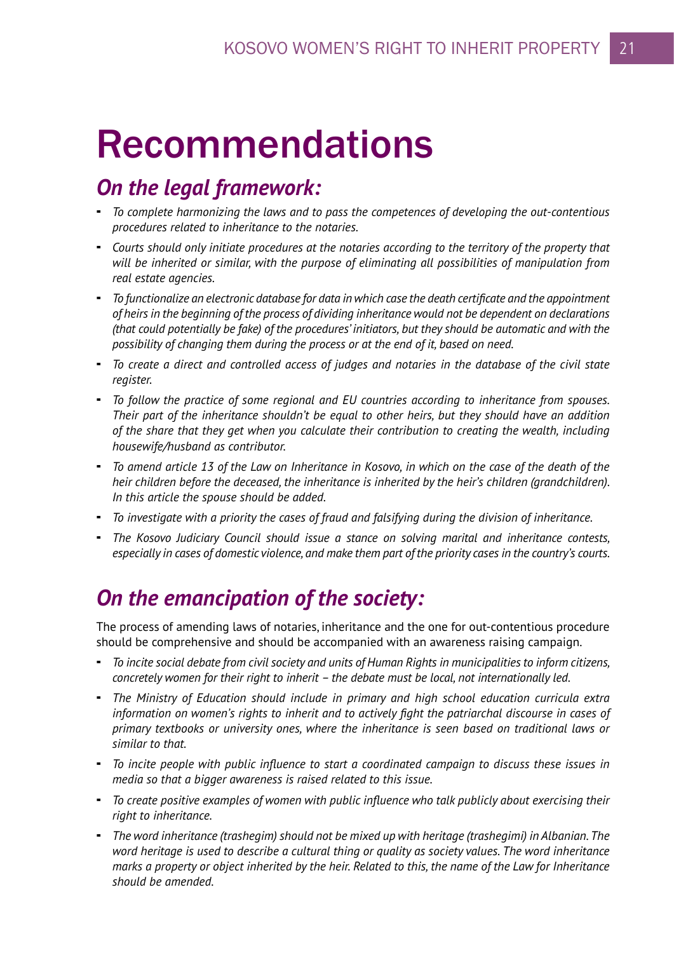# Recommendations

### *On the legal framework:*

- *To complete harmonizing the laws and to pass the competences of developing the out-contentious procedures related to inheritance to the notaries.*
- *Courts should only initiate procedures at the notaries according to the territory of the property that will be inherited or similar, with the purpose of eliminating all possibilities of manipulation from real estate agencies.*
- *To functionalize an electronic database for data in which case the death certificate and the appointment of heirs in the beginning of the process of dividing inheritance would not be dependent on declarations (that could potentially be fake) of the procedures' initiators, but they should be automatic and with the possibility of changing them during the process or at the end of it, based on need.*
- *To create a direct and controlled access of judges and notaries in the database of the civil state register.*
- *To follow the practice of some regional and EU countries according to inheritance from spouses. Their part of the inheritance shouldn't be equal to other heirs, but they should have an addition of the share that they get when you calculate their contribution to creating the wealth, including housewife/husband as contributor.*
- *To amend article 13 of the Law on Inheritance in Kosovo, in which on the case of the death of the heir children before the deceased, the inheritance is inherited by the heir's children (grandchildren). In this article the spouse should be added.*
- *To investigate with a priority the cases of fraud and falsifying during the division of inheritance.*
- *The Kosovo Judiciary Council should issue a stance on solving marital and inheritance contests, especially in cases of domestic violence, and make them part of the priority cases in the country's courts.*

## *On the emancipation of the society:*

The process of amending laws of notaries, inheritance and the one for out-contentious procedure should be comprehensive and should be accompanied with an awareness raising campaign.

- *To incite social debate from civil society and units of Human Rights in municipalities to inform citizens, concretely women for their right to inherit – the debate must be local, not internationally led.*
- *The Ministry of Education should include in primary and high school education curricula extra information on women's rights to inherit and to actively fight the patriarchal discourse in cases of primary textbooks or university ones, where the inheritance is seen based on traditional laws or similar to that.*
- *To incite people with public influence to start a coordinated campaign to discuss these issues in media so that a bigger awareness is raised related to this issue.*
- *To create positive examples of women with public influence who talk publicly about exercising their right to inheritance.*
- *The word inheritance (trashegim) should not be mixed up with heritage (trashegimi) in Albanian. The word heritage is used to describe a cultural thing or quality as society values. The word inheritance marks a property or object inherited by the heir. Related to this, the name of the Law for Inheritance should be amended.*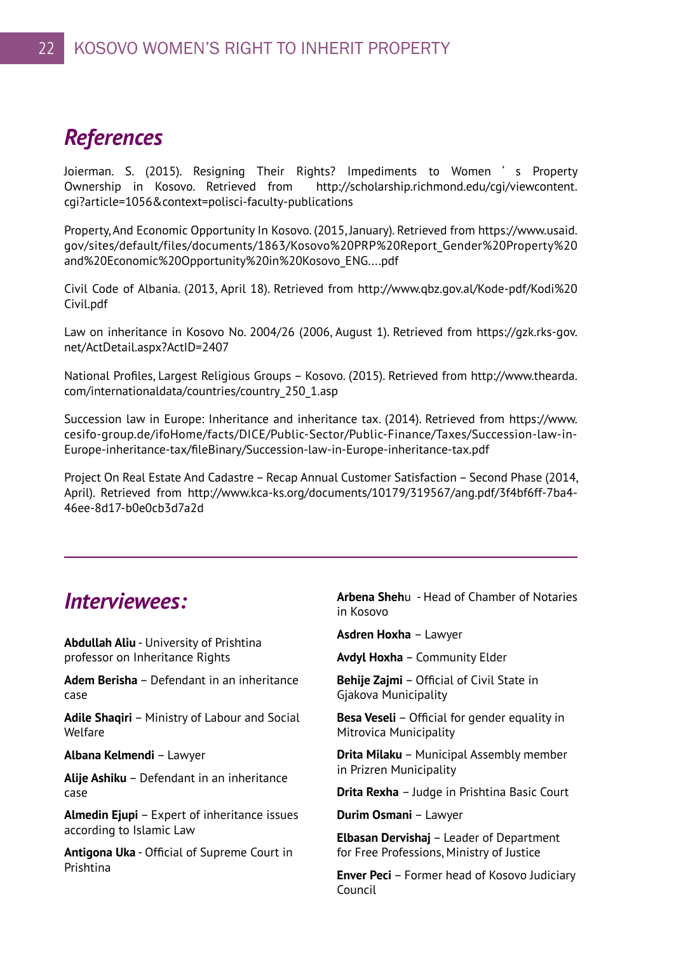### *References*

Joierman. S. (2015). Resigning Their Rights? Impediments to Women ' s Property Ownership in Kosovo. Retrieved from http://scholarship.richmond.edu/cgi/viewcontent. cgi?article=1056&context=polisci-faculty-publications

Property, And Economic Opportunity In Kosovo. (2015, January). Retrieved from https://www.usaid. gov/sites/default/files/documents/1863/Kosovo%20PRP%20Report\_Gender%20Property%20 and%20Economic%20Opportunity%20in%20Kosovo\_ENG....pdf

Civil Code of Albania. (2013, April 18). Retrieved from http://www.qbz.gov.al/Kode-pdf/Kodi%20 Civil.pdf

Law on inheritance in Kosovo No. 2004/26 (2006, August 1). Retrieved from https://gzk.rks-gov. net/ActDetail.aspx?ActID=2407

National Profiles, Largest Religious Groups – Kosovo. (2015). Retrieved from http://www.thearda. com/internationaldata/countries/country\_250\_1.asp

Succession law in Europe: Inheritance and inheritance tax. (2014). Retrieved from https://www. cesifo-group.de/ifoHome/facts/DICE/Public-Sector/Public-Finance/Taxes/Succession-law-in-Europe-inheritance-tax/fileBinary/Succession-law-in-Europe-inheritance-tax.pdf

Project On Real Estate And Cadastre – Recap Annual Customer Satisfaction – Second Phase (2014, April). Retrieved from http://www.kca-ks.org/documents/10179/319567/ang.pdf/3f4bf6ff-7ba4- 46ee-8d17-b0e0cb3d7a2d

### *Interviewees:*

**Abdullah Aliu** - University of Prishtina professor on Inheritance Rights

**Adem Berisha** – Defendant in an inheritance case

**Adile Shaqiri** – Ministry of Labour and Social Welfare

**Albana Kelmendi** – Lawyer

**Alije Ashiku** – Defendant in an inheritance case

**Almedin Ejupi** – Expert of inheritance issues according to Islamic Law

**Antigona Uka** - Official of Supreme Court in Prishtina

**Arbena Sheh**u - Head of Chamber of Notaries in Kosovo

**Asdren Hoxha** – Lawyer

**Avdyl Hoxha** – Community Elder

**Behije Zaimi** – Official of Civil State in Gjakova Municipality

**Besa Veseli** – Official for gender equality in Mitrovica Municipality

**Drita Milaku** – Municipal Assembly member in Prizren Municipality

**Drita Rexha** – Judge in Prishtina Basic Court

**Durim Osmani** – Lawyer

**Elbasan Dervishaj** – Leader of Department for Free Professions, Ministry of Justice

**Enver Peci** – Former head of Kosovo Judiciary Council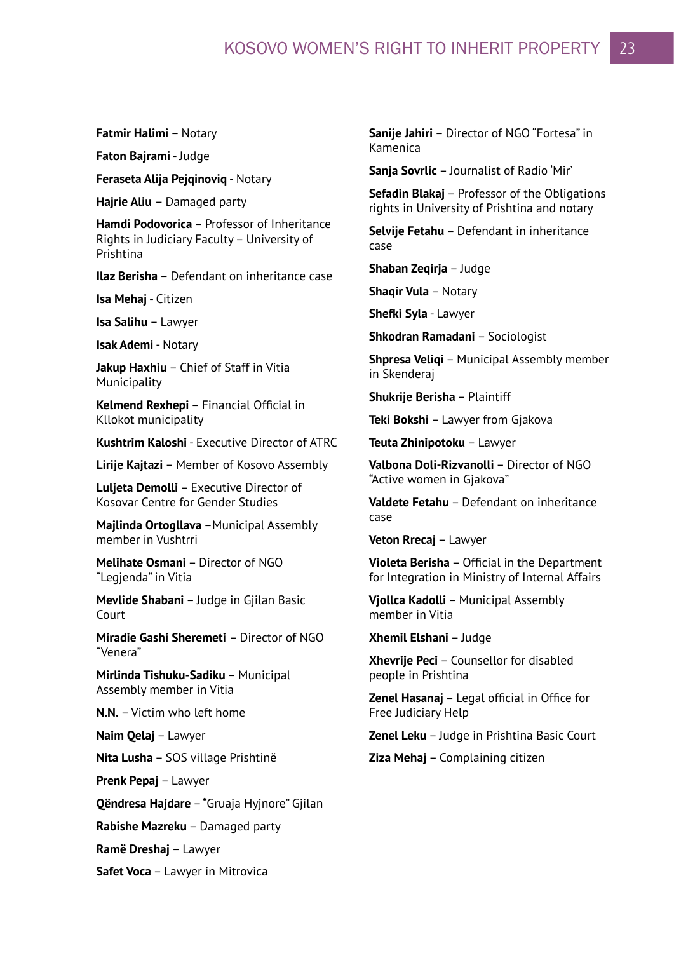### KOSOVO WOMEN'S RIGHT TO INHERIT PROPERTY 23

**Fatmir Halimi** – Notary

**Faton Bajrami** - Judge

**Feraseta Alija Pejqinoviq** - Notary

**Hajrie Aliu** – Damaged party

**Hamdi Podovorica** – Professor of Inheritance Rights in Judiciary Faculty – University of Prishtina

**Ilaz Berisha** – Defendant on inheritance case

**Isa Mehaj** - Citizen

**Isa Salihu** – Lawyer

**Isak Ademi** - Notary

**Jakup Haxhiu** – Chief of Staff in Vitia Municipality

**Kelmend Rexhepi** – Financial Official in Kllokot municipality

**Kushtrim Kaloshi** - Executive Director of ATRC

**Lirije Kajtazi** – Member of Kosovo Assembly

**Luljeta Demolli** – Executive Director of Kosovar Centre for Gender Studies

**Majlinda Ortogllava** - Municipal Assembly member in Vushtrri

**Melihate Osmani** – Director of NGO "Legjenda" in Vitia

**Mevlide Shabani** – Judge in Gjilan Basic Court

**Miradie Gashi Sheremeti** – Director of NGO "Venera"

**Mirlinda Tishuku-Sadiku** – Municipal Assembly member in Vitia

**N.N.** – Victim who left home

**Naim Qelaj** – Lawyer

**Nita Lusha** – SOS village Prishtinë

**Prenk Pepaj** – Lawyer

**Qëndresa Hajdare** – "Gruaja Hyjnore" Gjilan

**Rabishe Mazreku** – Damaged party

**Ramë Dreshaj** – Lawyer

**Safet Voca** – Lawyer in Mitrovica

**Sanije Jahiri** – Director of NGO "Fortesa" in Kamenica

**Sanja Sovrlic** – Journalist of Radio 'Mir'

**Sefadin Blakaj** – Professor of the Obligations rights in University of Prishtina and notary

**Selvije Fetahu** – Defendant in inheritance case

**Shaban Zeqiria – Judge** 

**Shaqir Vula** – Notary

**Shefki Syla** - Lawyer

**Shkodran Ramadani** – Sociologist

**Shpresa Veliqi** – Municipal Assembly member in Skenderaj

**Shukrije Berisha** – Plaintiff

**Teki Bokshi** – Lawyer from Gjakova

**Teuta Zhinipotoku** – Lawyer

**Valbona Doli-Rizvanolli** – Director of NGO "Active women in Gjakova"

**Valdete Fetahu** – Defendant on inheritance case

**Veton Rrecaj** – Lawyer

**Violeta Berisha** – Official in the Department for Integration in Ministry of Internal Affairs

**Vjollca Kadolli** – Municipal Assembly member in Vitia

**Xhemil Elshani** – Judge

**Xhevrije Peci** – Counsellor for disabled people in Prishtina

**Zenel Hasanaj** – Legal official in Office for Free Judiciary Help

**Zenel Leku** – Judge in Prishtina Basic Court

**Ziza Mehaj** – Complaining citizen